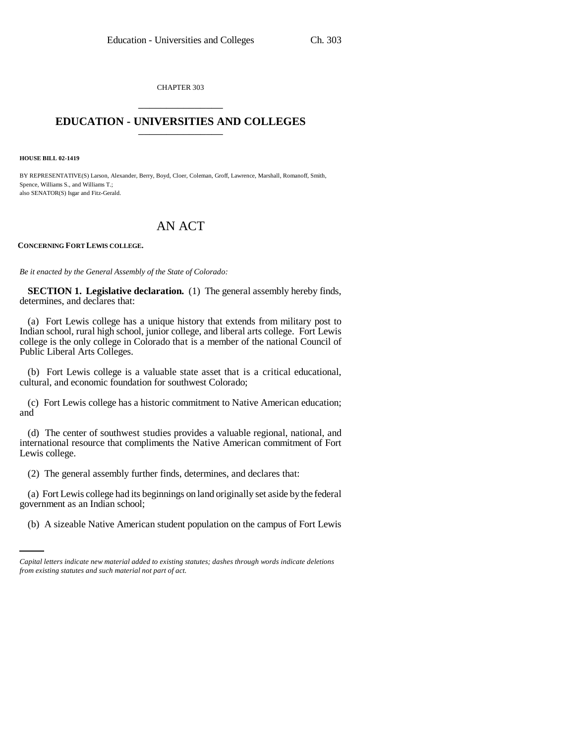CHAPTER 303 \_\_\_\_\_\_\_\_\_\_\_\_\_\_\_

## **EDUCATION - UNIVERSITIES AND COLLEGES** \_\_\_\_\_\_\_\_\_\_\_\_\_\_\_

**HOUSE BILL 02-1419**

BY REPRESENTATIVE(S) Larson, Alexander, Berry, Boyd, Cloer, Coleman, Groff, Lawrence, Marshall, Romanoff, Smith, Spence, Williams S., and Williams T.; also SENATOR(S) Isgar and Fitz-Gerald.

## AN ACT

## **CONCERNING FORT LEWIS COLLEGE.**

*Be it enacted by the General Assembly of the State of Colorado:*

**SECTION 1. Legislative declaration.** (1) The general assembly hereby finds, determines, and declares that:

(a) Fort Lewis college has a unique history that extends from military post to Indian school, rural high school, junior college, and liberal arts college. Fort Lewis college is the only college in Colorado that is a member of the national Council of Public Liberal Arts Colleges.

(b) Fort Lewis college is a valuable state asset that is a critical educational, cultural, and economic foundation for southwest Colorado;

(c) Fort Lewis college has a historic commitment to Native American education; and

(d) The center of southwest studies provides a valuable regional, national, and international resource that compliments the Native American commitment of Fort Lewis college.

(2) The general assembly further finds, determines, and declares that:

government as an Indian school; (a) Fort Lewis college had its beginnings on land originally set aside by the federal

(b) A sizeable Native American student population on the campus of Fort Lewis

*Capital letters indicate new material added to existing statutes; dashes through words indicate deletions from existing statutes and such material not part of act.*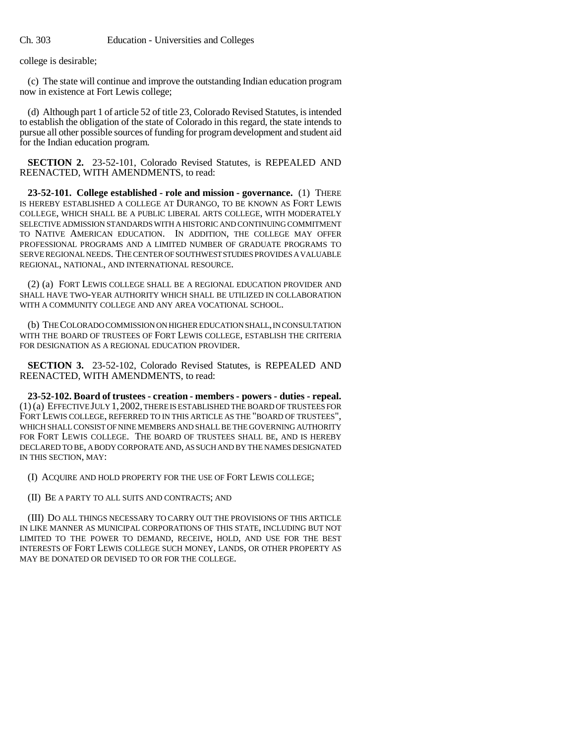college is desirable;

(c) The state will continue and improve the outstanding Indian education program now in existence at Fort Lewis college;

(d) Although part 1 of article 52 of title 23, Colorado Revised Statutes, is intended to establish the obligation of the state of Colorado in this regard, the state intends to pursue all other possible sources of funding for program development and student aid for the Indian education program.

**SECTION 2.** 23-52-101, Colorado Revised Statutes, is REPEALED AND REENACTED, WITH AMENDMENTS, to read:

**23-52-101. College established - role and mission - governance.** (1) THERE IS HEREBY ESTABLISHED A COLLEGE AT DURANGO, TO BE KNOWN AS FORT LEWIS COLLEGE, WHICH SHALL BE A PUBLIC LIBERAL ARTS COLLEGE, WITH MODERATELY SELECTIVE ADMISSION STANDARDS WITH A HISTORIC AND CONTINUING COMMITMENT TO NATIVE AMERICAN EDUCATION. IN ADDITION, THE COLLEGE MAY OFFER PROFESSIONAL PROGRAMS AND A LIMITED NUMBER OF GRADUATE PROGRAMS TO SERVE REGIONAL NEEDS. THE CENTER OF SOUTHWEST STUDIES PROVIDES A VALUABLE REGIONAL, NATIONAL, AND INTERNATIONAL RESOURCE.

(2) (a) FORT LEWIS COLLEGE SHALL BE A REGIONAL EDUCATION PROVIDER AND SHALL HAVE TWO-YEAR AUTHORITY WHICH SHALL BE UTILIZED IN COLLABORATION WITH A COMMUNITY COLLEGE AND ANY AREA VOCATIONAL SCHOOL.

(b) THE COLORADO COMMISSION ON HIGHER EDUCATION SHALL, IN CONSULTATION WITH THE BOARD OF TRUSTEES OF FORT LEWIS COLLEGE, ESTABLISH THE CRITERIA FOR DESIGNATION AS A REGIONAL EDUCATION PROVIDER.

**SECTION 3.** 23-52-102, Colorado Revised Statutes, is REPEALED AND REENACTED, WITH AMENDMENTS, to read:

**23-52-102. Board of trustees - creation - members - powers - duties - repeal.** (1) (a) EFFECTIVE JULY 1,2002, THERE IS ESTABLISHED THE BOARD OF TRUSTEES FOR FORT LEWIS COLLEGE, REFERRED TO IN THIS ARTICLE AS THE "BOARD OF TRUSTEES", WHICH SHALL CONSIST OF NINE MEMBERS AND SHALL BE THE GOVERNING AUTHORITY FOR FORT LEWIS COLLEGE. THE BOARD OF TRUSTEES SHALL BE, AND IS HEREBY DECLARED TO BE, A BODY CORPORATE AND, AS SUCH AND BY THE NAMES DESIGNATED IN THIS SECTION, MAY:

(I) ACQUIRE AND HOLD PROPERTY FOR THE USE OF FORT LEWIS COLLEGE;

(II) BE A PARTY TO ALL SUITS AND CONTRACTS; AND

(III) DO ALL THINGS NECESSARY TO CARRY OUT THE PROVISIONS OF THIS ARTICLE IN LIKE MANNER AS MUNICIPAL CORPORATIONS OF THIS STATE, INCLUDING BUT NOT LIMITED TO THE POWER TO DEMAND, RECEIVE, HOLD, AND USE FOR THE BEST INTERESTS OF FORT LEWIS COLLEGE SUCH MONEY, LANDS, OR OTHER PROPERTY AS MAY BE DONATED OR DEVISED TO OR FOR THE COLLEGE.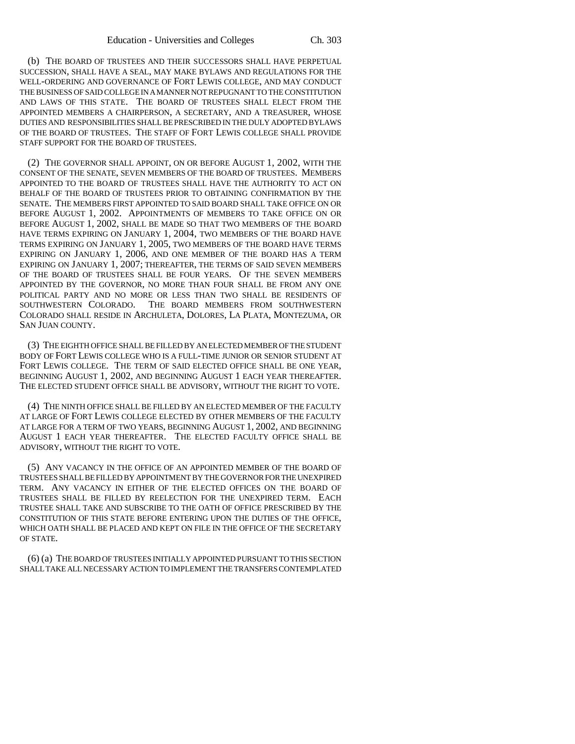(b) THE BOARD OF TRUSTEES AND THEIR SUCCESSORS SHALL HAVE PERPETUAL SUCCESSION, SHALL HAVE A SEAL, MAY MAKE BYLAWS AND REGULATIONS FOR THE WELL-ORDERING AND GOVERNANCE OF FORT LEWIS COLLEGE, AND MAY CONDUCT THE BUSINESS OF SAID COLLEGE IN A MANNER NOT REPUGNANT TO THE CONSTITUTION AND LAWS OF THIS STATE. THE BOARD OF TRUSTEES SHALL ELECT FROM THE APPOINTED MEMBERS A CHAIRPERSON, A SECRETARY, AND A TREASURER, WHOSE DUTIES AND RESPONSIBILITIES SHALL BE PRESCRIBED IN THE DULY ADOPTED BYLAWS OF THE BOARD OF TRUSTEES. THE STAFF OF FORT LEWIS COLLEGE SHALL PROVIDE STAFF SUPPORT FOR THE BOARD OF TRUSTEES.

(2) THE GOVERNOR SHALL APPOINT, ON OR BEFORE AUGUST 1, 2002, WITH THE CONSENT OF THE SENATE, SEVEN MEMBERS OF THE BOARD OF TRUSTEES. MEMBERS APPOINTED TO THE BOARD OF TRUSTEES SHALL HAVE THE AUTHORITY TO ACT ON BEHALF OF THE BOARD OF TRUSTEES PRIOR TO OBTAINING CONFIRMATION BY THE SENATE. THE MEMBERS FIRST APPOINTED TO SAID BOARD SHALL TAKE OFFICE ON OR BEFORE AUGUST 1, 2002. APPOINTMENTS OF MEMBERS TO TAKE OFFICE ON OR BEFORE AUGUST 1, 2002, SHALL BE MADE SO THAT TWO MEMBERS OF THE BOARD HAVE TERMS EXPIRING ON JANUARY 1, 2004, TWO MEMBERS OF THE BOARD HAVE TERMS EXPIRING ON JANUARY 1, 2005, TWO MEMBERS OF THE BOARD HAVE TERMS EXPIRING ON JANUARY 1, 2006, AND ONE MEMBER OF THE BOARD HAS A TERM EXPIRING ON JANUARY 1, 2007; THEREAFTER, THE TERMS OF SAID SEVEN MEMBERS OF THE BOARD OF TRUSTEES SHALL BE FOUR YEARS. OF THE SEVEN MEMBERS APPOINTED BY THE GOVERNOR, NO MORE THAN FOUR SHALL BE FROM ANY ONE POLITICAL PARTY AND NO MORE OR LESS THAN TWO SHALL BE RESIDENTS OF SOUTHWESTERN COLORADO. THE BOARD MEMBERS FROM SOUTHWESTERN COLORADO SHALL RESIDE IN ARCHULETA, DOLORES, LA PLATA, MONTEZUMA, OR SAN JUAN COUNTY.

(3) THE EIGHTH OFFICE SHALL BE FILLED BY AN ELECTED MEMBER OF THE STUDENT BODY OF FORT LEWIS COLLEGE WHO IS A FULL-TIME JUNIOR OR SENIOR STUDENT AT FORT LEWIS COLLEGE. THE TERM OF SAID ELECTED OFFICE SHALL BE ONE YEAR, BEGINNING AUGUST 1, 2002, AND BEGINNING AUGUST 1 EACH YEAR THEREAFTER. THE ELECTED STUDENT OFFICE SHALL BE ADVISORY, WITHOUT THE RIGHT TO VOTE.

(4) THE NINTH OFFICE SHALL BE FILLED BY AN ELECTED MEMBER OF THE FACULTY AT LARGE OF FORT LEWIS COLLEGE ELECTED BY OTHER MEMBERS OF THE FACULTY AT LARGE FOR A TERM OF TWO YEARS, BEGINNING AUGUST 1, 2002, AND BEGINNING AUGUST 1 EACH YEAR THEREAFTER. THE ELECTED FACULTY OFFICE SHALL BE ADVISORY, WITHOUT THE RIGHT TO VOTE.

(5) ANY VACANCY IN THE OFFICE OF AN APPOINTED MEMBER OF THE BOARD OF TRUSTEES SHALL BE FILLED BY APPOINTMENT BY THE GOVERNOR FOR THE UNEXPIRED TERM. ANY VACANCY IN EITHER OF THE ELECTED OFFICES ON THE BOARD OF TRUSTEES SHALL BE FILLED BY REELECTION FOR THE UNEXPIRED TERM. EACH TRUSTEE SHALL TAKE AND SUBSCRIBE TO THE OATH OF OFFICE PRESCRIBED BY THE CONSTITUTION OF THIS STATE BEFORE ENTERING UPON THE DUTIES OF THE OFFICE, WHICH OATH SHALL BE PLACED AND KEPT ON FILE IN THE OFFICE OF THE SECRETARY OF STATE.

(6) (a) THE BOARD OF TRUSTEES INITIALLY APPOINTED PURSUANT TO THIS SECTION SHALL TAKE ALL NECESSARY ACTION TO IMPLEMENT THE TRANSFERS CONTEMPLATED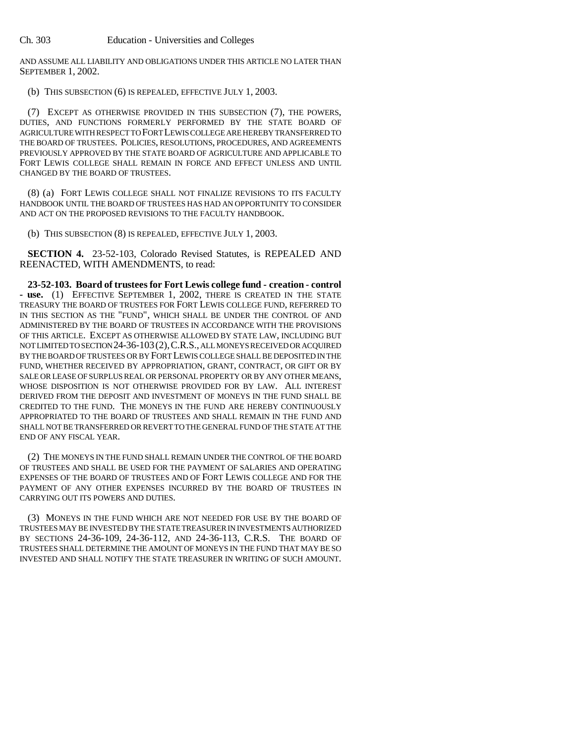AND ASSUME ALL LIABILITY AND OBLIGATIONS UNDER THIS ARTICLE NO LATER THAN SEPTEMBER 1, 2002.

(b) THIS SUBSECTION (6) IS REPEALED, EFFECTIVE JULY 1, 2003.

(7) EXCEPT AS OTHERWISE PROVIDED IN THIS SUBSECTION (7), THE POWERS, DUTIES, AND FUNCTIONS FORMERLY PERFORMED BY THE STATE BOARD OF AGRICULTURE WITH RESPECT TO FORT LEWIS COLLEGE ARE HEREBY TRANSFERRED TO THE BOARD OF TRUSTEES. POLICIES, RESOLUTIONS, PROCEDURES, AND AGREEMENTS PREVIOUSLY APPROVED BY THE STATE BOARD OF AGRICULTURE AND APPLICABLE TO FORT LEWIS COLLEGE SHALL REMAIN IN FORCE AND EFFECT UNLESS AND UNTIL CHANGED BY THE BOARD OF TRUSTEES.

(8) (a) FORT LEWIS COLLEGE SHALL NOT FINALIZE REVISIONS TO ITS FACULTY HANDBOOK UNTIL THE BOARD OF TRUSTEES HAS HAD AN OPPORTUNITY TO CONSIDER AND ACT ON THE PROPOSED REVISIONS TO THE FACULTY HANDBOOK.

(b) THIS SUBSECTION (8) IS REPEALED, EFFECTIVE JULY 1, 2003.

**SECTION 4.** 23-52-103, Colorado Revised Statutes, is REPEALED AND REENACTED, WITH AMENDMENTS, to read:

**23-52-103. Board of trustees for Fort Lewis college fund - creation - control - use.** (1) EFFECTIVE SEPTEMBER 1, 2002, THERE IS CREATED IN THE STATE TREASURY THE BOARD OF TRUSTEES FOR FORT LEWIS COLLEGE FUND, REFERRED TO IN THIS SECTION AS THE "FUND", WHICH SHALL BE UNDER THE CONTROL OF AND ADMINISTERED BY THE BOARD OF TRUSTEES IN ACCORDANCE WITH THE PROVISIONS OF THIS ARTICLE. EXCEPT AS OTHERWISE ALLOWED BY STATE LAW, INCLUDING BUT NOT LIMITED TO SECTION 24-36-103(2),C.R.S., ALL MONEYS RECEIVED OR ACQUIRED BY THE BOARD OF TRUSTEES OR BY FORT LEWIS COLLEGE SHALL BE DEPOSITED IN THE FUND, WHETHER RECEIVED BY APPROPRIATION, GRANT, CONTRACT, OR GIFT OR BY SALE OR LEASE OF SURPLUS REAL OR PERSONAL PROPERTY OR BY ANY OTHER MEANS, WHOSE DISPOSITION IS NOT OTHERWISE PROVIDED FOR BY LAW. ALL INTEREST DERIVED FROM THE DEPOSIT AND INVESTMENT OF MONEYS IN THE FUND SHALL BE CREDITED TO THE FUND. THE MONEYS IN THE FUND ARE HEREBY CONTINUOUSLY APPROPRIATED TO THE BOARD OF TRUSTEES AND SHALL REMAIN IN THE FUND AND SHALL NOT BE TRANSFERRED OR REVERT TO THE GENERAL FUND OF THE STATE AT THE END OF ANY FISCAL YEAR.

(2) THE MONEYS IN THE FUND SHALL REMAIN UNDER THE CONTROL OF THE BOARD OF TRUSTEES AND SHALL BE USED FOR THE PAYMENT OF SALARIES AND OPERATING EXPENSES OF THE BOARD OF TRUSTEES AND OF FORT LEWIS COLLEGE AND FOR THE PAYMENT OF ANY OTHER EXPENSES INCURRED BY THE BOARD OF TRUSTEES IN CARRYING OUT ITS POWERS AND DUTIES.

(3) MONEYS IN THE FUND WHICH ARE NOT NEEDED FOR USE BY THE BOARD OF TRUSTEES MAY BE INVESTED BY THE STATE TREASURER IN INVESTMENTS AUTHORIZED BY SECTIONS 24-36-109, 24-36-112, AND 24-36-113, C.R.S. THE BOARD OF TRUSTEES SHALL DETERMINE THE AMOUNT OF MONEYS IN THE FUND THAT MAY BE SO INVESTED AND SHALL NOTIFY THE STATE TREASURER IN WRITING OF SUCH AMOUNT.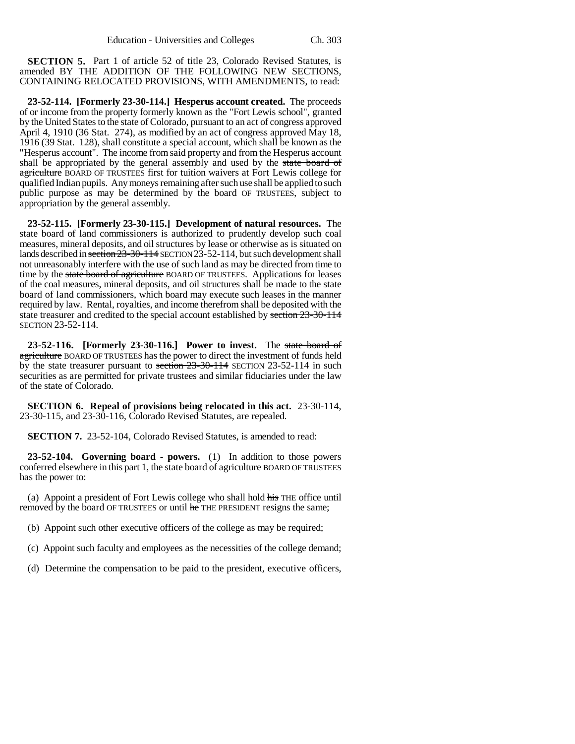**SECTION 5.** Part 1 of article 52 of title 23, Colorado Revised Statutes, is amended BY THE ADDITION OF THE FOLLOWING NEW SECTIONS, CONTAINING RELOCATED PROVISIONS, WITH AMENDMENTS, to read:

**23-52-114. [Formerly 23-30-114.] Hesperus account created.** The proceeds of or income from the property formerly known as the "Fort Lewis school", granted by the United States to the state of Colorado, pursuant to an act of congress approved April 4, 1910 (36 Stat. 274), as modified by an act of congress approved May 18, 1916 (39 Stat. 128), shall constitute a special account, which shall be known as the "Hesperus account". The income from said property and from the Hesperus account shall be appropriated by the general assembly and used by the state board of agriculture BOARD OF TRUSTEES first for tuition waivers at Fort Lewis college for qualified Indian pupils. Any moneys remaining after such use shall be applied to such public purpose as may be determined by the board OF TRUSTEES, subject to appropriation by the general assembly.

**23-52-115. [Formerly 23-30-115.] Development of natural resources.** The state board of land commissioners is authorized to prudently develop such coal measures, mineral deposits, and oil structures by lease or otherwise as is situated on lands described in section 23-30-114 SECTION 23-52-114, but such development shall not unreasonably interfere with the use of such land as may be directed from time to time by the state board of agriculture BOARD OF TRUSTEES. Applications for leases of the coal measures, mineral deposits, and oil structures shall be made to the state board of land commissioners, which board may execute such leases in the manner required by law. Rental, royalties, and income therefrom shall be deposited with the state treasurer and credited to the special account established by section 23-30-114 SECTION 23-52-114.

**23-52-116. [Formerly 23-30-116.] Power to invest.** The state board of agriculture BOARD OF TRUSTEES has the power to direct the investment of funds held by the state treasurer pursuant to section 23-30-114 SECTION 23-52-114 in such securities as are permitted for private trustees and similar fiduciaries under the law of the state of Colorado.

**SECTION 6. Repeal of provisions being relocated in this act.** 23-30-114, 23-30-115, and 23-30-116, Colorado Revised Statutes, are repealed.

**SECTION 7.** 23-52-104, Colorado Revised Statutes, is amended to read:

**23-52-104. Governing board - powers.** (1) In addition to those powers conferred elsewhere in this part 1, the state board of agriculture BOARD OF TRUSTEES has the power to:

(a) Appoint a president of Fort Lewis college who shall hold his THE office until removed by the board OF TRUSTEES or until  $he$  THE PRESIDENT resigns the same;

(b) Appoint such other executive officers of the college as may be required;

- (c) Appoint such faculty and employees as the necessities of the college demand;
- (d) Determine the compensation to be paid to the president, executive officers,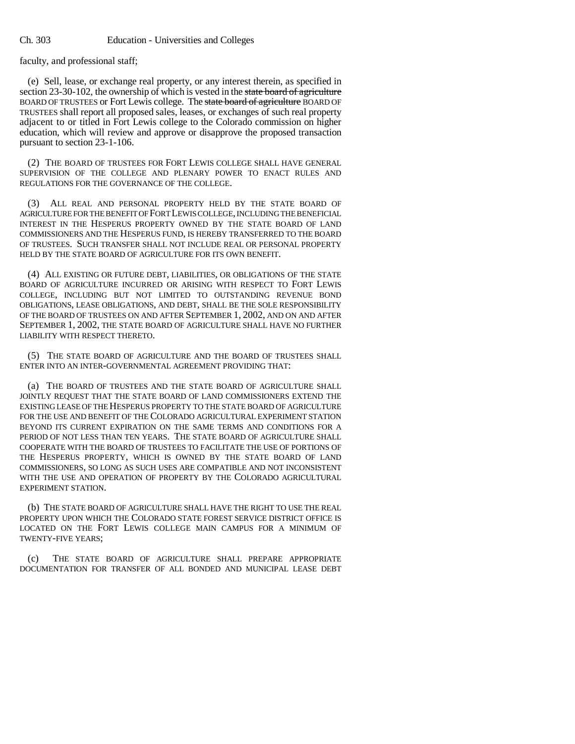faculty, and professional staff;

(e) Sell, lease, or exchange real property, or any interest therein, as specified in section 23-30-102, the ownership of which is vested in the state board of agriculture BOARD OF TRUSTEES or Fort Lewis college. The state board of agriculture BOARD OF TRUSTEES shall report all proposed sales, leases, or exchanges of such real property adjacent to or titled in Fort Lewis college to the Colorado commission on higher education, which will review and approve or disapprove the proposed transaction pursuant to section 23-1-106.

(2) THE BOARD OF TRUSTEES FOR FORT LEWIS COLLEGE SHALL HAVE GENERAL SUPERVISION OF THE COLLEGE AND PLENARY POWER TO ENACT RULES AND REGULATIONS FOR THE GOVERNANCE OF THE COLLEGE.

(3) ALL REAL AND PERSONAL PROPERTY HELD BY THE STATE BOARD OF AGRICULTURE FOR THE BENEFIT OF FORT LEWIS COLLEGE, INCLUDING THE BENEFICIAL INTEREST IN THE HESPERUS PROPERTY OWNED BY THE STATE BOARD OF LAND COMMISSIONERS AND THE HESPERUS FUND, IS HEREBY TRANSFERRED TO THE BOARD OF TRUSTEES. SUCH TRANSFER SHALL NOT INCLUDE REAL OR PERSONAL PROPERTY HELD BY THE STATE BOARD OF AGRICULTURE FOR ITS OWN BENEFIT.

(4) ALL EXISTING OR FUTURE DEBT, LIABILITIES, OR OBLIGATIONS OF THE STATE BOARD OF AGRICULTURE INCURRED OR ARISING WITH RESPECT TO FORT LEWIS COLLEGE, INCLUDING BUT NOT LIMITED TO OUTSTANDING REVENUE BOND OBLIGATIONS, LEASE OBLIGATIONS, AND DEBT, SHALL BE THE SOLE RESPONSIBILITY OF THE BOARD OF TRUSTEES ON AND AFTER SEPTEMBER 1, 2002, AND ON AND AFTER SEPTEMBER 1, 2002, THE STATE BOARD OF AGRICULTURE SHALL HAVE NO FURTHER LIABILITY WITH RESPECT THERETO.

(5) THE STATE BOARD OF AGRICULTURE AND THE BOARD OF TRUSTEES SHALL ENTER INTO AN INTER-GOVERNMENTAL AGREEMENT PROVIDING THAT:

(a) THE BOARD OF TRUSTEES AND THE STATE BOARD OF AGRICULTURE SHALL JOINTLY REQUEST THAT THE STATE BOARD OF LAND COMMISSIONERS EXTEND THE EXISTING LEASE OF THE HESPERUS PROPERTY TO THE STATE BOARD OF AGRICULTURE FOR THE USE AND BENEFIT OF THE COLORADO AGRICULTURAL EXPERIMENT STATION BEYOND ITS CURRENT EXPIRATION ON THE SAME TERMS AND CONDITIONS FOR A PERIOD OF NOT LESS THAN TEN YEARS. THE STATE BOARD OF AGRICULTURE SHALL COOPERATE WITH THE BOARD OF TRUSTEES TO FACILITATE THE USE OF PORTIONS OF THE HESPERUS PROPERTY, WHICH IS OWNED BY THE STATE BOARD OF LAND COMMISSIONERS, SO LONG AS SUCH USES ARE COMPATIBLE AND NOT INCONSISTENT WITH THE USE AND OPERATION OF PROPERTY BY THE COLORADO AGRICULTURAL EXPERIMENT STATION.

(b) THE STATE BOARD OF AGRICULTURE SHALL HAVE THE RIGHT TO USE THE REAL PROPERTY UPON WHICH THE COLORADO STATE FOREST SERVICE DISTRICT OFFICE IS LOCATED ON THE FORT LEWIS COLLEGE MAIN CAMPUS FOR A MINIMUM OF TWENTY-FIVE YEARS;

(c) THE STATE BOARD OF AGRICULTURE SHALL PREPARE APPROPRIATE DOCUMENTATION FOR TRANSFER OF ALL BONDED AND MUNICIPAL LEASE DEBT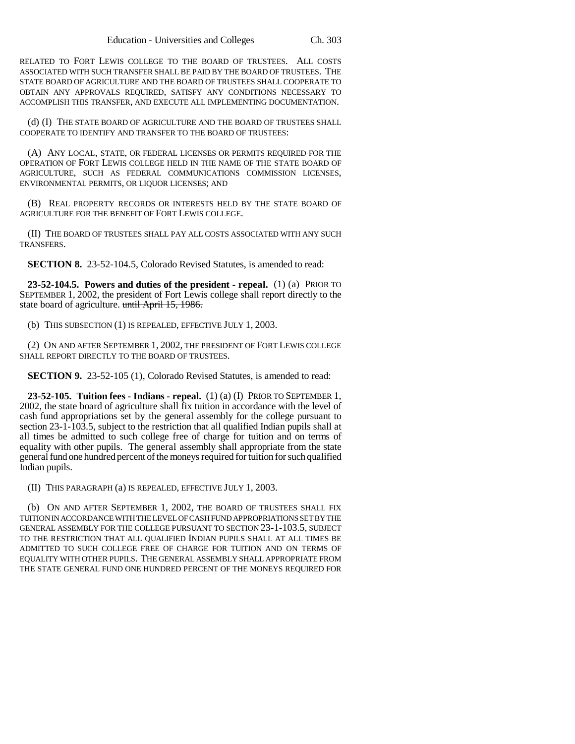RELATED TO FORT LEWIS COLLEGE TO THE BOARD OF TRUSTEES. ALL COSTS ASSOCIATED WITH SUCH TRANSFER SHALL BE PAID BY THE BOARD OF TRUSTEES. THE STATE BOARD OF AGRICULTURE AND THE BOARD OF TRUSTEES SHALL COOPERATE TO OBTAIN ANY APPROVALS REQUIRED, SATISFY ANY CONDITIONS NECESSARY TO ACCOMPLISH THIS TRANSFER, AND EXECUTE ALL IMPLEMENTING DOCUMENTATION.

(d) (I) THE STATE BOARD OF AGRICULTURE AND THE BOARD OF TRUSTEES SHALL COOPERATE TO IDENTIFY AND TRANSFER TO THE BOARD OF TRUSTEES:

(A) ANY LOCAL, STATE, OR FEDERAL LICENSES OR PERMITS REQUIRED FOR THE OPERATION OF FORT LEWIS COLLEGE HELD IN THE NAME OF THE STATE BOARD OF AGRICULTURE, SUCH AS FEDERAL COMMUNICATIONS COMMISSION LICENSES, ENVIRONMENTAL PERMITS, OR LIQUOR LICENSES; AND

(B) REAL PROPERTY RECORDS OR INTERESTS HELD BY THE STATE BOARD OF AGRICULTURE FOR THE BENEFIT OF FORT LEWIS COLLEGE.

(II) THE BOARD OF TRUSTEES SHALL PAY ALL COSTS ASSOCIATED WITH ANY SUCH TRANSFERS.

**SECTION 8.** 23-52-104.5, Colorado Revised Statutes, is amended to read:

**23-52-104.5. Powers and duties of the president - repeal.** (1) (a) PRIOR TO SEPTEMBER 1, 2002, the president of Fort Lewis college shall report directly to the state board of agriculture. until April 15, 1986.

(b) THIS SUBSECTION (1) IS REPEALED, EFFECTIVE JULY 1, 2003.

(2) ON AND AFTER SEPTEMBER 1, 2002, THE PRESIDENT OF FORT LEWIS COLLEGE SHALL REPORT DIRECTLY TO THE BOARD OF TRUSTEES.

**SECTION 9.** 23-52-105 (1), Colorado Revised Statutes, is amended to read:

**23-52-105. Tuition fees - Indians - repeal.** (1) (a) (I) PRIOR TO SEPTEMBER 1, 2002, the state board of agriculture shall fix tuition in accordance with the level of cash fund appropriations set by the general assembly for the college pursuant to section 23-1-103.5, subject to the restriction that all qualified Indian pupils shall at all times be admitted to such college free of charge for tuition and on terms of equality with other pupils. The general assembly shall appropriate from the state general fund one hundred percent of the moneys required for tuition for such qualified Indian pupils.

(II) THIS PARAGRAPH (a) IS REPEALED, EFFECTIVE JULY 1, 2003.

(b) ON AND AFTER SEPTEMBER 1, 2002, THE BOARD OF TRUSTEES SHALL FIX TUITION IN ACCORDANCE WITH THE LEVEL OF CASH FUND APPROPRIATIONS SET BY THE GENERAL ASSEMBLY FOR THE COLLEGE PURSUANT TO SECTION 23-1-103.5, SUBJECT TO THE RESTRICTION THAT ALL QUALIFIED INDIAN PUPILS SHALL AT ALL TIMES BE ADMITTED TO SUCH COLLEGE FREE OF CHARGE FOR TUITION AND ON TERMS OF EQUALITY WITH OTHER PUPILS. THE GENERAL ASSEMBLY SHALL APPROPRIATE FROM THE STATE GENERAL FUND ONE HUNDRED PERCENT OF THE MONEYS REQUIRED FOR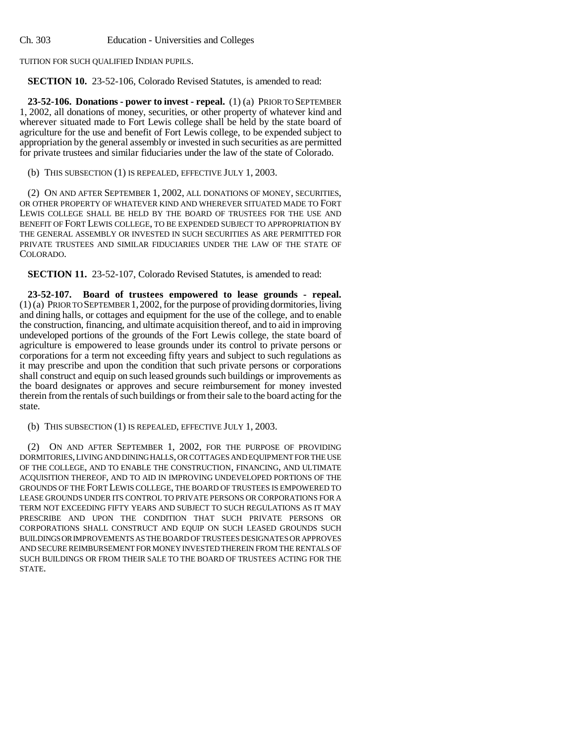TUITION FOR SUCH QUALIFIED INDIAN PUPILS.

**SECTION 10.** 23-52-106, Colorado Revised Statutes, is amended to read:

**23-52-106. Donations - power to invest - repeal.** (1) (a) PRIOR TO SEPTEMBER 1, 2002, all donations of money, securities, or other property of whatever kind and wherever situated made to Fort Lewis college shall be held by the state board of agriculture for the use and benefit of Fort Lewis college, to be expended subject to appropriation by the general assembly or invested in such securities as are permitted for private trustees and similar fiduciaries under the law of the state of Colorado.

(b) THIS SUBSECTION (1) IS REPEALED, EFFECTIVE JULY 1, 2003.

(2) ON AND AFTER SEPTEMBER 1, 2002, ALL DONATIONS OF MONEY, SECURITIES, OR OTHER PROPERTY OF WHATEVER KIND AND WHEREVER SITUATED MADE TO FORT LEWIS COLLEGE SHALL BE HELD BY THE BOARD OF TRUSTEES FOR THE USE AND BENEFIT OF FORT LEWIS COLLEGE, TO BE EXPENDED SUBJECT TO APPROPRIATION BY THE GENERAL ASSEMBLY OR INVESTED IN SUCH SECURITIES AS ARE PERMITTED FOR PRIVATE TRUSTEES AND SIMILAR FIDUCIARIES UNDER THE LAW OF THE STATE OF COLORADO.

**SECTION 11.** 23-52-107, Colorado Revised Statutes, is amended to read:

**23-52-107. Board of trustees empowered to lease grounds - repeal.** (1) (a) PRIOR TO SEPTEMBER 1,2002, for the purpose of providing dormitories, living and dining halls, or cottages and equipment for the use of the college, and to enable the construction, financing, and ultimate acquisition thereof, and to aid in improving undeveloped portions of the grounds of the Fort Lewis college, the state board of agriculture is empowered to lease grounds under its control to private persons or corporations for a term not exceeding fifty years and subject to such regulations as it may prescribe and upon the condition that such private persons or corporations shall construct and equip on such leased grounds such buildings or improvements as the board designates or approves and secure reimbursement for money invested therein from the rentals of such buildings or from their sale to the board acting for the state.

(b) THIS SUBSECTION (1) IS REPEALED, EFFECTIVE JULY 1, 2003.

(2) ON AND AFTER SEPTEMBER 1, 2002, FOR THE PURPOSE OF PROVIDING DORMITORIES, LIVING AND DINING HALLS, OR COTTAGES AND EQUIPMENT FOR THE USE OF THE COLLEGE, AND TO ENABLE THE CONSTRUCTION, FINANCING, AND ULTIMATE ACQUISITION THEREOF, AND TO AID IN IMPROVING UNDEVELOPED PORTIONS OF THE GROUNDS OF THE FORT LEWIS COLLEGE, THE BOARD OF TRUSTEES IS EMPOWERED TO LEASE GROUNDS UNDER ITS CONTROL TO PRIVATE PERSONS OR CORPORATIONS FOR A TERM NOT EXCEEDING FIFTY YEARS AND SUBJECT TO SUCH REGULATIONS AS IT MAY PRESCRIBE AND UPON THE CONDITION THAT SUCH PRIVATE PERSONS OR CORPORATIONS SHALL CONSTRUCT AND EQUIP ON SUCH LEASED GROUNDS SUCH BUILDINGS OR IMPROVEMENTS AS THE BOARD OF TRUSTEES DESIGNATES OR APPROVES AND SECURE REIMBURSEMENT FOR MONEY INVESTED THEREIN FROM THE RENTALS OF SUCH BUILDINGS OR FROM THEIR SALE TO THE BOARD OF TRUSTEES ACTING FOR THE STATE.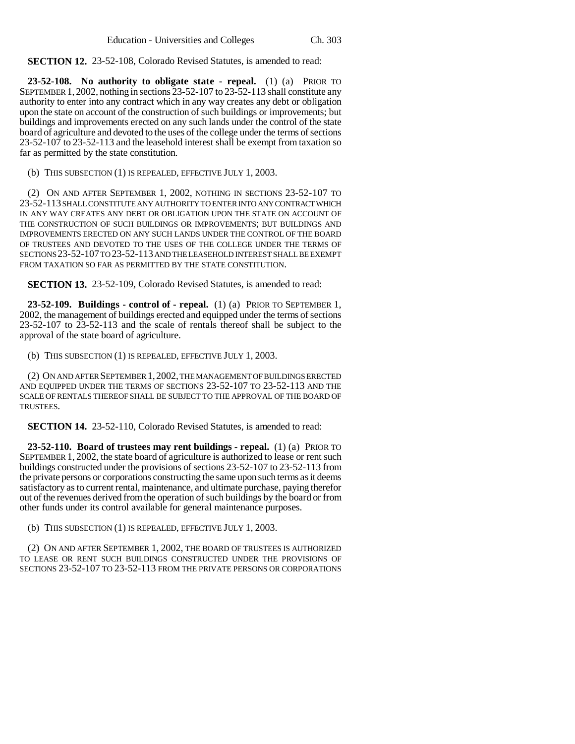**SECTION 12.** 23-52-108, Colorado Revised Statutes, is amended to read:

**23-52-108. No authority to obligate state - repeal.** (1) (a) PRIOR TO SEPTEMBER 1, 2002, nothing in sections 23-52-107 to 23-52-113 shall constitute any authority to enter into any contract which in any way creates any debt or obligation upon the state on account of the construction of such buildings or improvements; but buildings and improvements erected on any such lands under the control of the state board of agriculture and devoted to the uses of the college under the terms of sections 23-52-107 to 23-52-113 and the leasehold interest shall be exempt from taxation so far as permitted by the state constitution.

(b) THIS SUBSECTION (1) IS REPEALED, EFFECTIVE JULY 1, 2003.

(2) ON AND AFTER SEPTEMBER 1, 2002, NOTHING IN SECTIONS 23-52-107 TO 23-52-113 SHALL CONSTITUTE ANY AUTHORITY TO ENTER INTO ANY CONTRACT WHICH IN ANY WAY CREATES ANY DEBT OR OBLIGATION UPON THE STATE ON ACCOUNT OF THE CONSTRUCTION OF SUCH BUILDINGS OR IMPROVEMENTS; BUT BUILDINGS AND IMPROVEMENTS ERECTED ON ANY SUCH LANDS UNDER THE CONTROL OF THE BOARD OF TRUSTEES AND DEVOTED TO THE USES OF THE COLLEGE UNDER THE TERMS OF SECTIONS 23-52-107 TO 23-52-113 AND THE LEASEHOLD INTEREST SHALL BE EXEMPT FROM TAXATION SO FAR AS PERMITTED BY THE STATE CONSTITUTION.

**SECTION 13.** 23-52-109, Colorado Revised Statutes, is amended to read:

**23-52-109. Buildings - control of - repeal.** (1) (a) PRIOR TO SEPTEMBER 1, 2002, the management of buildings erected and equipped under the terms of sections 23-52-107 to 23-52-113 and the scale of rentals thereof shall be subject to the approval of the state board of agriculture.

(b) THIS SUBSECTION (1) IS REPEALED, EFFECTIVE JULY 1, 2003.

(2) ON AND AFTER SEPTEMBER 1,2002, THE MANAGEMENT OF BUILDINGS ERECTED AND EQUIPPED UNDER THE TERMS OF SECTIONS 23-52-107 TO 23-52-113 AND THE SCALE OF RENTALS THEREOF SHALL BE SUBJECT TO THE APPROVAL OF THE BOARD OF TRUSTEES.

**SECTION 14.** 23-52-110, Colorado Revised Statutes, is amended to read:

**23-52-110. Board of trustees may rent buildings - repeal.** (1) (a) PRIOR TO SEPTEMBER 1, 2002, the state board of agriculture is authorized to lease or rent such buildings constructed under the provisions of sections 23-52-107 to 23-52-113 from the private persons or corporations constructing the same upon such terms as it deems satisfactory as to current rental, maintenance, and ultimate purchase, paying therefor out of the revenues derived from the operation of such buildings by the board or from other funds under its control available for general maintenance purposes.

(b) THIS SUBSECTION (1) IS REPEALED, EFFECTIVE JULY 1, 2003.

(2) ON AND AFTER SEPTEMBER 1, 2002, THE BOARD OF TRUSTEES IS AUTHORIZED TO LEASE OR RENT SUCH BUILDINGS CONSTRUCTED UNDER THE PROVISIONS OF SECTIONS 23-52-107 TO 23-52-113 FROM THE PRIVATE PERSONS OR CORPORATIONS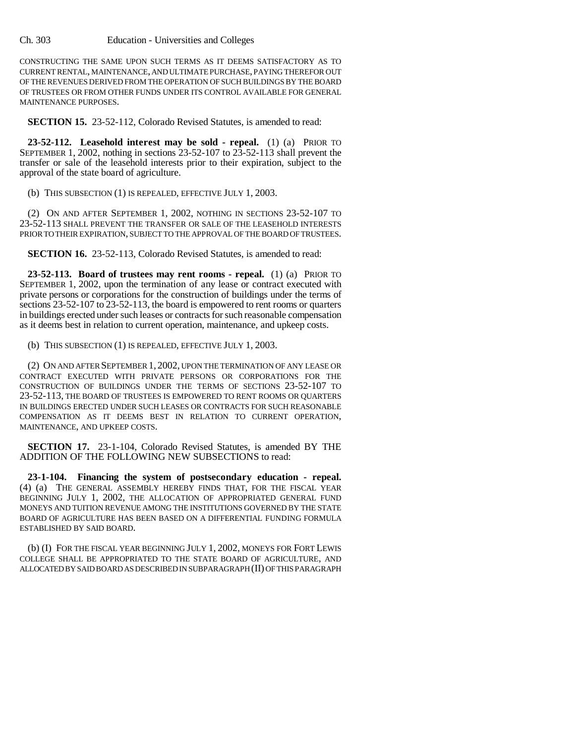Ch. 303 Education - Universities and Colleges

CONSTRUCTING THE SAME UPON SUCH TERMS AS IT DEEMS SATISFACTORY AS TO CURRENT RENTAL, MAINTENANCE, AND ULTIMATE PURCHASE, PAYING THEREFOR OUT OF THE REVENUES DERIVED FROM THE OPERATION OF SUCH BUILDINGS BY THE BOARD OF TRUSTEES OR FROM OTHER FUNDS UNDER ITS CONTROL AVAILABLE FOR GENERAL MAINTENANCE PURPOSES.

**SECTION 15.** 23-52-112, Colorado Revised Statutes, is amended to read:

**23-52-112. Leasehold interest may be sold - repeal.** (1) (a) PRIOR TO SEPTEMBER 1, 2002, nothing in sections 23-52-107 to 23-52-113 shall prevent the transfer or sale of the leasehold interests prior to their expiration, subject to the approval of the state board of agriculture.

(b) THIS SUBSECTION (1) IS REPEALED, EFFECTIVE JULY 1, 2003.

(2) ON AND AFTER SEPTEMBER 1, 2002, NOTHING IN SECTIONS 23-52-107 TO 23-52-113 SHALL PREVENT THE TRANSFER OR SALE OF THE LEASEHOLD INTERESTS PRIOR TO THEIR EXPIRATION, SUBJECT TO THE APPROVAL OF THE BOARD OF TRUSTEES.

**SECTION 16.** 23-52-113, Colorado Revised Statutes, is amended to read:

**23-52-113. Board of trustees may rent rooms - repeal.** (1) (a) PRIOR TO SEPTEMBER 1, 2002, upon the termination of any lease or contract executed with private persons or corporations for the construction of buildings under the terms of sections 23-52-107 to 23-52-113, the board is empowered to rent rooms or quarters in buildings erected under such leases or contracts for such reasonable compensation as it deems best in relation to current operation, maintenance, and upkeep costs.

(b) THIS SUBSECTION (1) IS REPEALED, EFFECTIVE JULY 1, 2003.

(2) ON AND AFTER SEPTEMBER 1, 2002, UPON THE TERMINATION OF ANY LEASE OR CONTRACT EXECUTED WITH PRIVATE PERSONS OR CORPORATIONS FOR THE CONSTRUCTION OF BUILDINGS UNDER THE TERMS OF SECTIONS 23-52-107 TO 23-52-113, THE BOARD OF TRUSTEES IS EMPOWERED TO RENT ROOMS OR QUARTERS IN BUILDINGS ERECTED UNDER SUCH LEASES OR CONTRACTS FOR SUCH REASONABLE COMPENSATION AS IT DEEMS BEST IN RELATION TO CURRENT OPERATION, MAINTENANCE, AND UPKEEP COSTS.

**SECTION 17.** 23-1-104, Colorado Revised Statutes, is amended BY THE ADDITION OF THE FOLLOWING NEW SUBSECTIONS to read:

**23-1-104. Financing the system of postsecondary education - repeal.** (4) (a) THE GENERAL ASSEMBLY HEREBY FINDS THAT, FOR THE FISCAL YEAR BEGINNING JULY 1, 2002, THE ALLOCATION OF APPROPRIATED GENERAL FUND MONEYS AND TUITION REVENUE AMONG THE INSTITUTIONS GOVERNED BY THE STATE BOARD OF AGRICULTURE HAS BEEN BASED ON A DIFFERENTIAL FUNDING FORMULA ESTABLISHED BY SAID BOARD.

(b) (I) FOR THE FISCAL YEAR BEGINNING JULY 1, 2002, MONEYS FOR FORT LEWIS COLLEGE SHALL BE APPROPRIATED TO THE STATE BOARD OF AGRICULTURE, AND ALLOCATED BY SAID BOARD AS DESCRIBED IN SUBPARAGRAPH (II) OF THIS PARAGRAPH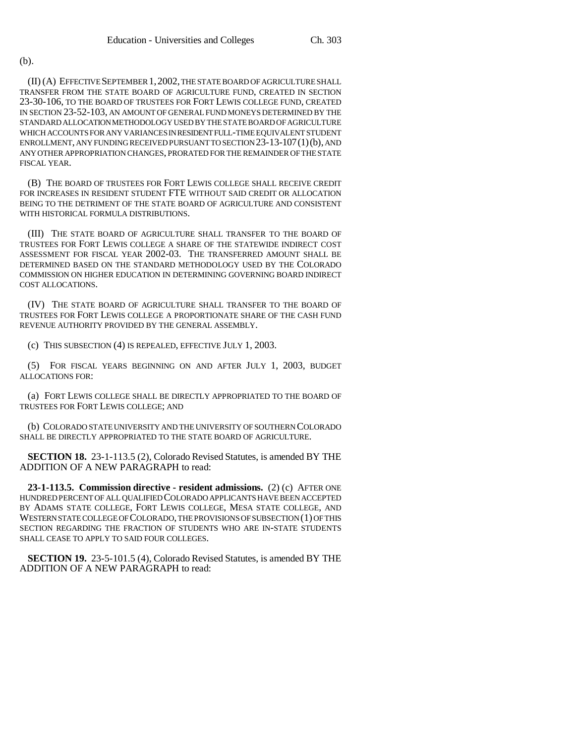(b).

(II) (A) EFFECTIVE SEPTEMBER 1,2002, THE STATE BOARD OF AGRICULTURE SHALL TRANSFER FROM THE STATE BOARD OF AGRICULTURE FUND, CREATED IN SECTION 23-30-106, TO THE BOARD OF TRUSTEES FOR FORT LEWIS COLLEGE FUND, CREATED IN SECTION 23-52-103, AN AMOUNT OF GENERAL FUND MONEYS DETERMINED BY THE STANDARD ALLOCATION METHODOLOGY USED BY THE STATE BOARD OF AGRICULTURE WHICH ACCOUNTS FOR ANY VARIANCES IN RESIDENT FULL-TIME EQUIVALENT STUDENT ENROLLMENT, ANY FUNDING RECEIVED PURSUANT TO SECTION 23-13-107(1)(b), AND ANY OTHER APPROPRIATION CHANGES, PRORATED FOR THE REMAINDER OF THE STATE FISCAL YEAR.

(B) THE BOARD OF TRUSTEES FOR FORT LEWIS COLLEGE SHALL RECEIVE CREDIT FOR INCREASES IN RESIDENT STUDENT FTE WITHOUT SAID CREDIT OR ALLOCATION BEING TO THE DETRIMENT OF THE STATE BOARD OF AGRICULTURE AND CONSISTENT WITH HISTORICAL FORMULA DISTRIBUTIONS.

(III) THE STATE BOARD OF AGRICULTURE SHALL TRANSFER TO THE BOARD OF TRUSTEES FOR FORT LEWIS COLLEGE A SHARE OF THE STATEWIDE INDIRECT COST ASSESSMENT FOR FISCAL YEAR 2002-03. THE TRANSFERRED AMOUNT SHALL BE DETERMINED BASED ON THE STANDARD METHODOLOGY USED BY THE COLORADO COMMISSION ON HIGHER EDUCATION IN DETERMINING GOVERNING BOARD INDIRECT COST ALLOCATIONS.

(IV) THE STATE BOARD OF AGRICULTURE SHALL TRANSFER TO THE BOARD OF TRUSTEES FOR FORT LEWIS COLLEGE A PROPORTIONATE SHARE OF THE CASH FUND REVENUE AUTHORITY PROVIDED BY THE GENERAL ASSEMBLY.

(c) THIS SUBSECTION (4) IS REPEALED, EFFECTIVE JULY 1, 2003.

(5) FOR FISCAL YEARS BEGINNING ON AND AFTER JULY 1, 2003, BUDGET ALLOCATIONS FOR:

(a) FORT LEWIS COLLEGE SHALL BE DIRECTLY APPROPRIATED TO THE BOARD OF TRUSTEES FOR FORT LEWIS COLLEGE; AND

(b) COLORADO STATE UNIVERSITY AND THE UNIVERSITY OF SOUTHERN COLORADO SHALL BE DIRECTLY APPROPRIATED TO THE STATE BOARD OF AGRICULTURE.

**SECTION 18.** 23-1-113.5 (2), Colorado Revised Statutes, is amended BY THE ADDITION OF A NEW PARAGRAPH to read:

**23-1-113.5. Commission directive - resident admissions.** (2) (c) AFTER ONE HUNDRED PERCENT OF ALL QUALIFIED COLORADO APPLICANTS HAVE BEEN ACCEPTED BY ADAMS STATE COLLEGE, FORT LEWIS COLLEGE, MESA STATE COLLEGE, AND WESTERN STATE COLLEGE OF COLORADO, THE PROVISIONS OF SUBSECTION (1) OF THIS SECTION REGARDING THE FRACTION OF STUDENTS WHO ARE IN-STATE STUDENTS SHALL CEASE TO APPLY TO SAID FOUR COLLEGES.

**SECTION 19.** 23-5-101.5 (4), Colorado Revised Statutes, is amended BY THE ADDITION OF A NEW PARAGRAPH to read: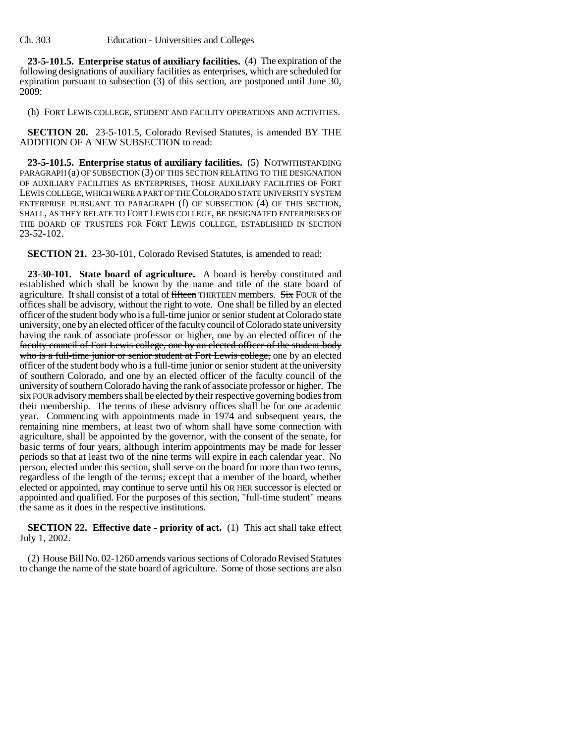**23-5-101.5. Enterprise status of auxiliary facilities.** (4) The expiration of the following designations of auxiliary facilities as enterprises, which are scheduled for expiration pursuant to subsection (3) of this section, are postponed until June 30, 2009:

(h) FORT LEWIS COLLEGE, STUDENT AND FACILITY OPERATIONS AND ACTIVITIES.

**SECTION 20.** 23-5-101.5, Colorado Revised Statutes, is amended BY THE ADDITION OF A NEW SUBSECTION to read:

**23-5-101.5. Enterprise status of auxiliary facilities.** (5) NOTWITHSTANDING PARAGRAPH (a) OF SUBSECTION (3) OF THIS SECTION RELATING TO THE DESIGNATION OF AUXILIARY FACILITIES AS ENTERPRISES, THOSE AUXILIARY FACILITIES OF FORT LEWIS COLLEGE, WHICH WERE A PART OF THE COLORADO STATE UNIVERSITY SYSTEM ENTERPRISE PURSUANT TO PARAGRAPH (f) OF SUBSECTION (4) OF THIS SECTION, SHALL, AS THEY RELATE TO FORT LEWIS COLLEGE, BE DESIGNATED ENTERPRISES OF THE BOARD OF TRUSTEES FOR FORT LEWIS COLLEGE, ESTABLISHED IN SECTION 23-52-102.

**SECTION 21.** 23-30-101, Colorado Revised Statutes, is amended to read:

**23-30-101. State board of agriculture.** A board is hereby constituted and established which shall be known by the name and title of the state board of agriculture. It shall consist of a total of fifteen THIRTEEN members. Six FOUR of the offices shall be advisory, without the right to vote. One shall be filled by an elected officer of the student body who is a full-time junior or senior student at Colorado state university, one by an elected officer of the faculty council of Colorado state university having the rank of associate professor or higher, one by an elected officer of the faculty council of Fort Lewis college, one by an elected officer of the student body who is a full-time junior or senior student at Fort Lewis college, one by an elected officer of the student body who is a full-time junior or senior student at the university of southern Colorado, and one by an elected officer of the faculty council of the university of southern Colorado having the rank of associate professor or higher. The six FOUR advisory members shall be elected by their respective governing bodies from their membership. The terms of these advisory offices shall be for one academic year. Commencing with appointments made in 1974 and subsequent years, the remaining nine members, at least two of whom shall have some connection with agriculture, shall be appointed by the governor, with the consent of the senate, for basic terms of four years, although interim appointments may be made for lesser periods so that at least two of the nine terms will expire in each calendar year. No person, elected under this section, shall serve on the board for more than two terms, regardless of the length of the terms; except that a member of the board, whether elected or appointed, may continue to serve until his OR HER successor is elected or appointed and qualified. For the purposes of this section, "full-time student" means the same as it does in the respective institutions.

**SECTION 22. Effective date - priority of act.** (1) This act shall take effect July 1, 2002.

(2) House Bill No. 02-1260 amends various sections of Colorado Revised Statutes to change the name of the state board of agriculture. Some of those sections are also